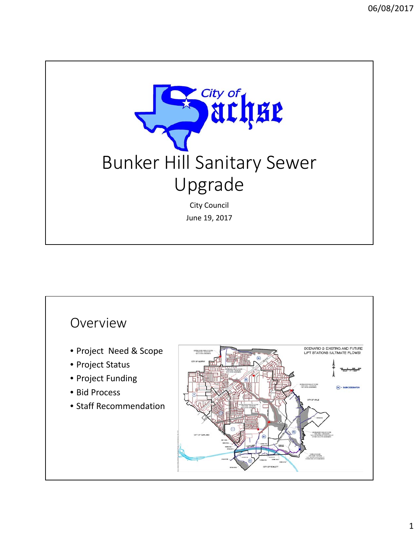

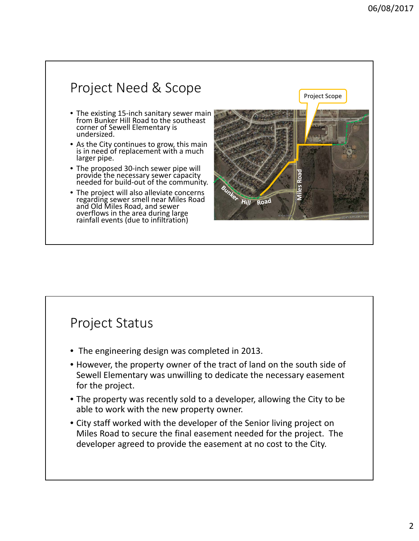

## Project Status

- The engineering design was completed in 2013.
- However, the property owner of the tract of land on the south side of Sewell Elementary was unwilling to dedicate the necessary easement for the project.
- The property was recently sold to a developer, allowing the City to be able to work with the new property owner.
- City staff worked with the developer of the Senior living project on Miles Road to secure the final easement needed for the project. The developer agreed to provide the easement at no cost to the City.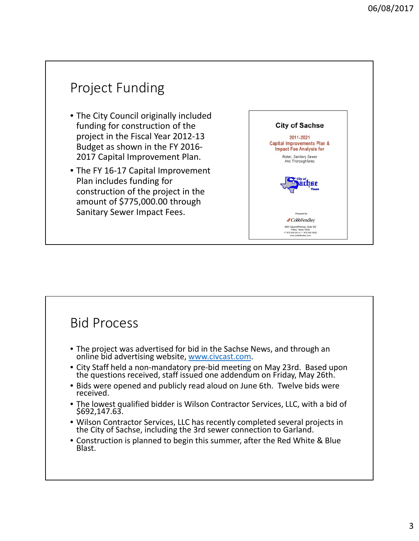## Project Funding • The City Council originally included funding for construction of the **City of Sachse** project in the Fiscal Year 2012‐13 2011-2021 Capital Improvements Plan & Budget as shown in the FY 2016‐ **Impact Fee Analysis for** 2017 Capital Improvement Plan. Water, Sanitary Sewer<br>And Thoroughfares • The FY 16-17 Capital Improvement Plan includes funding for chge construction of the project in the amount of \$775,000.00 through Sanitary Sewer Impact Fees. Prepared By: <sup>#</sup>CobbFendley 6801 Gaylord Parkway, Suite 302<br>Frisco, Texas 75034<br>P. 972 335 3214 | F. 972 335 3202<br>www.cobbfendley.com

## Bid Process

- The project was advertised for bid in the Sachse News, and through an online bid advertising website, www.civcast.com.
- City Staff held <sup>a</sup> non‐mandatory pre‐bid meeting on May 23rd. Based upon the questions received, staff issued one addendum on Friday, May 26th.
- Bids were opened and publicly read aloud on June 6th. Twelve bids were received.
- The lowest qualified bidder is Wilson Contractor Services, LLC, with a bid of \$692,147.63.
- Wilson Contractor Services, LLC has recently completed several projects in the City of Sachse, including the 3rd sewer connection to Garland.
- Construction is planned to begin this summer, after the Red White & Blue Blast.